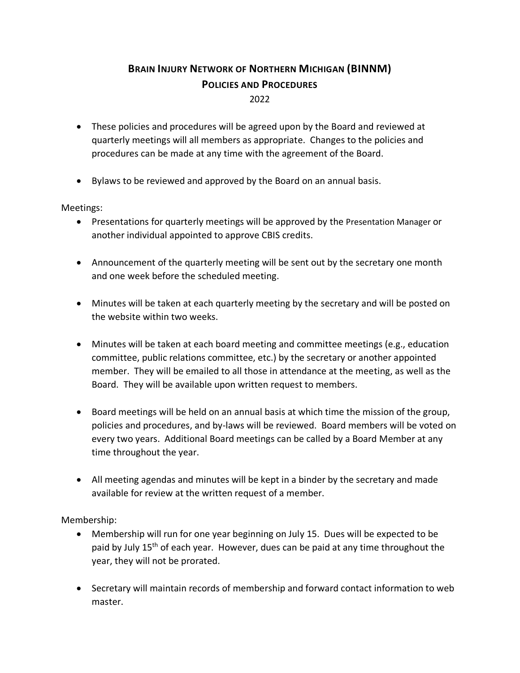## **BRAIN INJURY NETWORK OF NORTHERN MICHIGAN (BINNM) POLICIES AND PROCEDURES** 2022

- These policies and procedures will be agreed upon by the Board and reviewed at quarterly meetings will all members as appropriate. Changes to the policies and procedures can be made at any time with the agreement of the Board.
- Bylaws to be reviewed and approved by the Board on an annual basis.

## Meetings:

- Presentations for quarterly meetings will be approved by the Presentation Manager or another individual appointed to approve CBIS credits.
- Announcement of the quarterly meeting will be sent out by the secretary one month and one week before the scheduled meeting.
- Minutes will be taken at each quarterly meeting by the secretary and will be posted on the website within two weeks.
- Minutes will be taken at each board meeting and committee meetings (e.g., education committee, public relations committee, etc.) by the secretary or another appointed member. They will be emailed to all those in attendance at the meeting, as well as the Board. They will be available upon written request to members.
- Board meetings will be held on an annual basis at which time the mission of the group, policies and procedures, and by-laws will be reviewed. Board members will be voted on every two years. Additional Board meetings can be called by a Board Member at any time throughout the year.
- All meeting agendas and minutes will be kept in a binder by the secretary and made available for review at the written request of a member.

Membership:

- Membership will run for one year beginning on July 15. Dues will be expected to be paid by July 15<sup>th</sup> of each year. However, dues can be paid at any time throughout the year, they will not be prorated.
- Secretary will maintain records of membership and forward contact information to web master.